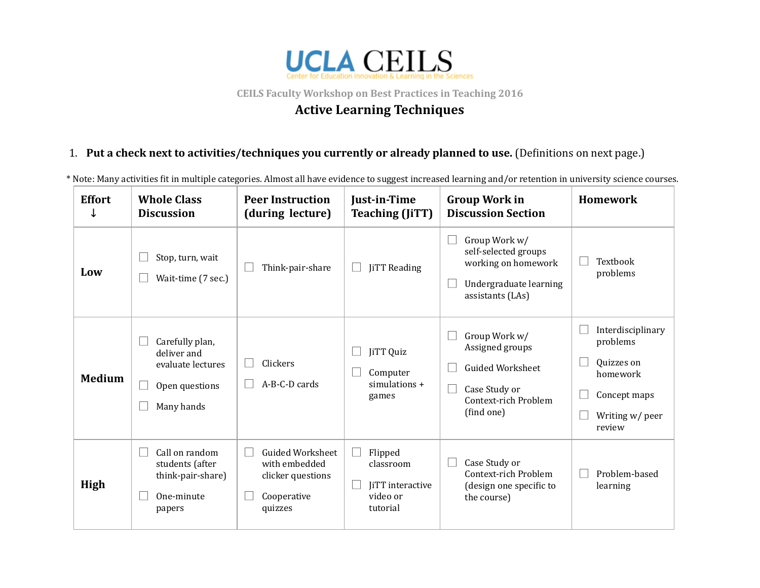

**CEILS Faculty Workshop on Best Practices in Teaching 2016**

## **Active Learning Techniques**

## 1. **Put a check next to activities/techniques you currently or already planned to use.** (Deinitions on next page.)

\* Note: Many activities it in multiple categories. Almost all have evidence to suggest increased learning and/or retention in university science courses.

| <b>Effort</b> | <b>Whole Class</b><br><b>Discussion</b>                                             | <b>Peer Instruction</b><br>(during lecture)                                             | Just-in-Time<br><b>Teaching (JiTT)</b>                                           | <b>Group Work in</b><br><b>Discussion Section</b>                                                                  | Homework                                                                                             |
|---------------|-------------------------------------------------------------------------------------|-----------------------------------------------------------------------------------------|----------------------------------------------------------------------------------|--------------------------------------------------------------------------------------------------------------------|------------------------------------------------------------------------------------------------------|
| Low           | Stop, turn, wait<br>Wait-time (7 sec.)                                              | Think-pair-share                                                                        | <b>JiTT</b> Reading                                                              | Group Work w/<br>self-selected groups<br>working on homework<br>Undergraduate learning<br>assistants (LAs)         | Textbook<br>problems                                                                                 |
| <b>Medium</b> | Carefully plan,<br>deliver and<br>evaluate lectures<br>Open questions<br>Many hands | Clickers<br>A-B-C-D cards                                                               | JiTT Quiz<br>Computer<br>$simulations +$<br>games                                | Group Work w/<br>Assigned groups<br><b>Guided Worksheet</b><br>Case Study or<br>Context-rich Problem<br>(find one) | Interdisciplinary<br>problems<br>Quizzes on<br>homework<br>Concept maps<br>Writing w/ peer<br>review |
| High          | Call on random<br>students (after<br>think-pair-share)<br>One-minute<br>papers      | <b>Guided Worksheet</b><br>with embedded<br>clicker questions<br>Cooperative<br>quizzes | Flipped<br>$\mathbf{I}$<br>classroom<br>JiTT interactive<br>video or<br>tutorial | Case Study or<br>Context-rich Problem<br>(design one specific to<br>the course)                                    | Problem-based<br>learning                                                                            |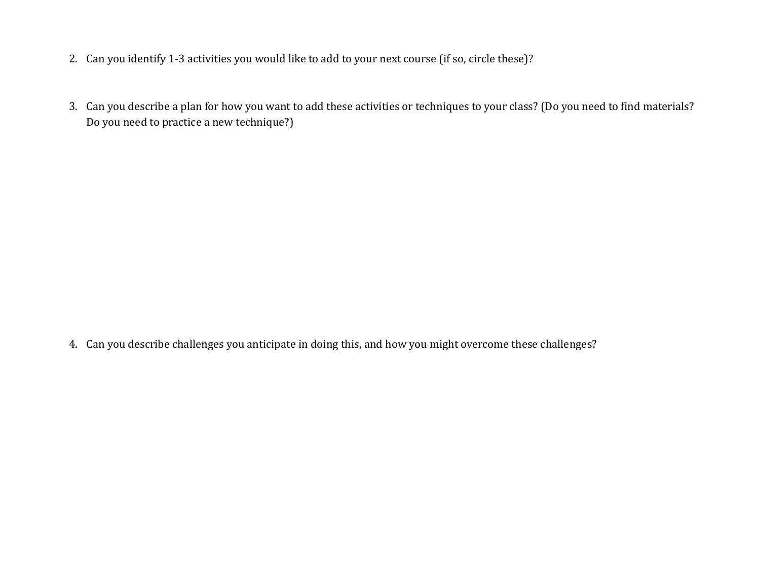- 2. Can you identify 1‐3 activities you would like to add to your next course (if so, circle these)?
- 3. Can you describe a plan for how you want to add these activities or techniques to your class? (Do you need to find materials? Do you need to practice a new technique?)

4. Can you describe challenges you anticipate in doing this, and how you might overcome these challenges?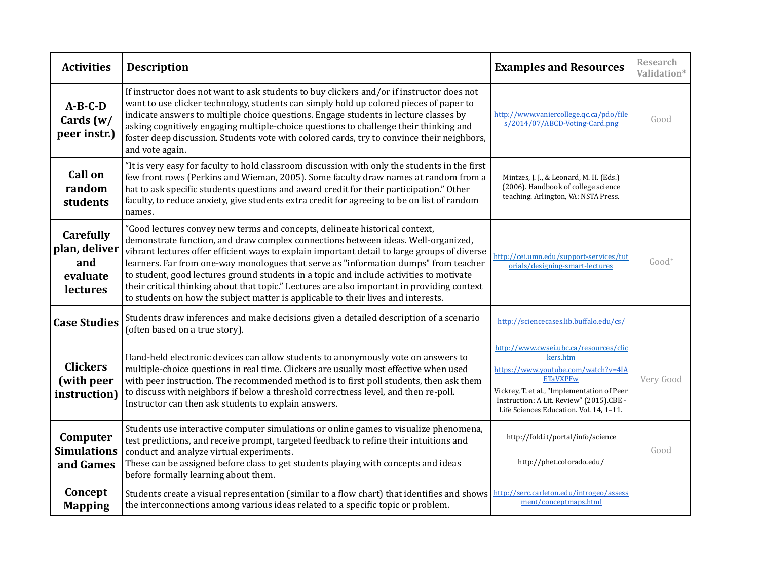| <b>Activities</b>                                                | <b>Description</b>                                                                                                                                                                                                                                                                                                                                                                                                                                                                                                                                                                                                                      | <b>Examples and Resources</b>                                                                                                                                                                                                                      | <b>Research</b><br>Validation* |
|------------------------------------------------------------------|-----------------------------------------------------------------------------------------------------------------------------------------------------------------------------------------------------------------------------------------------------------------------------------------------------------------------------------------------------------------------------------------------------------------------------------------------------------------------------------------------------------------------------------------------------------------------------------------------------------------------------------------|----------------------------------------------------------------------------------------------------------------------------------------------------------------------------------------------------------------------------------------------------|--------------------------------|
| $A-B-C-D$<br>Cards $(w)$<br>peer instr.)                         | If instructor does not want to ask students to buy clickers and/or if instructor does not<br>want to use clicker technology, students can simply hold up colored pieces of paper to<br>indicate answers to multiple choice questions. Engage students in lecture classes by<br>asking cognitively engaging multiple-choice questions to challenge their thinking and<br>foster deep discussion. Students vote with colored cards, try to convince their neighbors,<br>and vote again.                                                                                                                                                   | http://www.vaniercollege.qc.ca/pdo/file<br>s/2014/07/ABCD-Voting-Card.png                                                                                                                                                                          | Good                           |
| <b>Call on</b><br>random<br>students                             | "It is very easy for faculty to hold classroom discussion with only the students in the first<br>few front rows (Perkins and Wieman, 2005). Some faculty draw names at random from a<br>hat to ask specific students questions and award credit for their participation." Other<br>faculty, to reduce anxiety, give students extra credit for agreeing to be on list of random<br>names.                                                                                                                                                                                                                                                | Mintzes, J. J., & Leonard, M. H. (Eds.)<br>(2006). Handbook of college science<br>teaching. Arlington, VA: NSTA Press.                                                                                                                             |                                |
| <b>Carefully</b><br>plan, deliver<br>and<br>evaluate<br>lectures | "Good lectures convey new terms and concepts, delineate historical context,<br>demonstrate function, and draw complex connections between ideas. Well-organized,<br>vibrant lectures offer efficient ways to explain important detail to large groups of diverse<br>learners. Far from one-way monologues that serve as "information dumps" from teacher<br>to student, good lectures ground students in a topic and include activities to motivate<br>their critical thinking about that topic." Lectures are also important in providing context<br>to students on how the subject matter is applicable to their lives and interests. | http://cei.umn.edu/support-services/tut<br>orials/designing-smart-lectures                                                                                                                                                                         | Good <sup>+</sup>              |
| <b>Case Studies</b>                                              | Students draw inferences and make decisions given a detailed description of a scenario<br>(often based on a true story).                                                                                                                                                                                                                                                                                                                                                                                                                                                                                                                | http://sciencecases.lib.buffalo.edu/cs/                                                                                                                                                                                                            |                                |
| <b>Clickers</b><br>(with peer<br>instruction)                    | Hand-held electronic devices can allow students to anonymously vote on answers to<br>multiple-choice questions in real time. Clickers are usually most effective when used<br>with peer instruction. The recommended method is to first poll students, then ask them<br>to discuss with neighbors if below a threshold correctness level, and then re-poll.<br>Instructor can then ask students to explain answers.                                                                                                                                                                                                                     | http://www.cwsei.ubc.ca/resources/clic<br>kers.htm<br>https://www.youtube.com/watch?v=4IA<br><b>ETaVXPFw</b><br>Vickrey, T. et al., "Implementation of Peer<br>Instruction: A Lit. Review" (2015).CBE -<br>Life Sciences Education. Vol. 14, 1-11. | Very Good                      |
| Computer<br><b>Simulations</b><br>and Games                      | Students use interactive computer simulations or online games to visualize phenomena,<br>test predictions, and receive prompt, targeted feedback to refine their intuitions and<br>conduct and analyze virtual experiments.<br>These can be assigned before class to get students playing with concepts and ideas<br>before formally learning about them.                                                                                                                                                                                                                                                                               | http://fold.it/portal/info/science<br>http://phet.colorado.edu/                                                                                                                                                                                    | Good                           |
| Concept<br><b>Mapping</b>                                        | Students create a visual representation (similar to a flow chart) that identifies and shows<br>the interconnections among various ideas related to a specific topic or problem.                                                                                                                                                                                                                                                                                                                                                                                                                                                         | http://serc.carleton.edu/introgeo/assess<br>ment/conceptmaps.html                                                                                                                                                                                  |                                |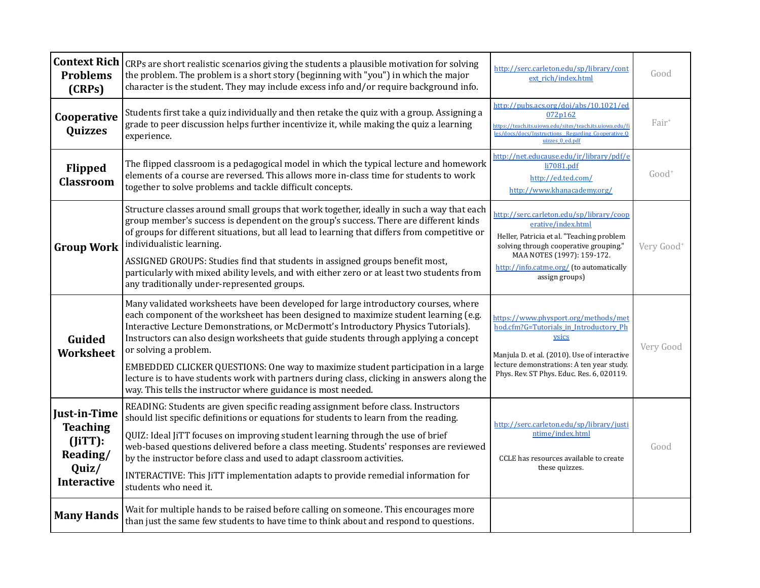| <b>Context Rich</b><br><b>Problems</b><br>(CRPs)                                         | CRPs are short realistic scenarios giving the students a plausible motivation for solving<br>the problem. The problem is a short story (beginning with "you") in which the major<br>character is the student. They may include excess info and/or require background info.                                                                                                                                                                                                                                                                                                                                                              | http://serc.carleton.edu/sp/library/cont<br>ext rich/index.html                                                                                                                                                                                   | Good                   |
|------------------------------------------------------------------------------------------|-----------------------------------------------------------------------------------------------------------------------------------------------------------------------------------------------------------------------------------------------------------------------------------------------------------------------------------------------------------------------------------------------------------------------------------------------------------------------------------------------------------------------------------------------------------------------------------------------------------------------------------------|---------------------------------------------------------------------------------------------------------------------------------------------------------------------------------------------------------------------------------------------------|------------------------|
| Cooperative<br><b>Quizzes</b>                                                            | Students first take a quiz individually and then retake the quiz with a group. Assigning a<br>grade to peer discussion helps further incentivize it, while making the quiz a learning<br>experience.                                                                                                                                                                                                                                                                                                                                                                                                                                    | http://pubs.acs.org/doi/abs/10.1021/ed<br>072p162<br>nttps://teach.its.uiowa.edu/sites/teach.its.uiowa.edu/fi<br>les/docs/docs/Instructions_Regarding_Cooperative_Q<br>uizzes 0 ed.pdf                                                            | Fair <sup>+</sup>      |
| Flipped<br><b>Classroom</b>                                                              | The flipped classroom is a pedagogical model in which the typical lecture and homework<br>elements of a course are reversed. This allows more in-class time for students to work<br>together to solve problems and tackle difficult concepts.                                                                                                                                                                                                                                                                                                                                                                                           | http://net.educause.edu/ir/library/pdf/e<br>li7081.pdf<br>http://ed.ted.com/<br>http://www.khanacademy.org/                                                                                                                                       | $Good+$                |
| <b>Group Work</b>                                                                        | Structure classes around small groups that work together, ideally in such a way that each<br>group member's success is dependent on the group's success. There are different kinds<br>of groups for different situations, but all lead to learning that differs from competitive or<br>individualistic learning.<br>ASSIGNED GROUPS: Studies find that students in assigned groups benefit most,<br>particularly with mixed ability levels, and with either zero or at least two students from<br>any traditionally under-represented groups.                                                                                           | http://serc.carleton.edu/sp/library/coop<br>erative/index.html<br>Heller, Patricia et al. "Teaching problem<br>solving through cooperative grouping."<br>MAA NOTES (1997): 159-172.<br>http://info.catme.org/ (to automatically<br>assign groups) | Very Good <sup>+</sup> |
| Guided<br>Worksheet                                                                      | Many validated worksheets have been developed for large introductory courses, where<br>each component of the worksheet has been designed to maximize student learning (e.g.<br>Interactive Lecture Demonstrations, or McDermott's Introductory Physics Tutorials).<br>Instructors can also design worksheets that guide students through applying a concept<br>or solving a problem.<br>EMBEDDED CLICKER QUESTIONS: One way to maximize student participation in a large<br>lecture is to have students work with partners during class, clicking in answers along the<br>way. This tells the instructor where guidance is most needed. | https://www.physport.org/methods/met<br>hod.cfm?G=Tutorials_in_Introductory_Ph<br>ysics<br>Manjula D. et al. (2010). Use of interactive<br>lecture demonstrations: A ten year study.<br>Phys. Rev. ST Phys. Educ. Res. 6, 020119.                 | Very Good              |
| Just-in-Time<br><b>Teaching</b><br>$(JiTT)$ :<br>Reading/<br>Quiz/<br><b>Interactive</b> | READING: Students are given specific reading assignment before class. Instructors<br>should list specific definitions or equations for students to learn from the reading.<br>QUIZ: Ideal JiTT focuses on improving student learning through the use of brief<br>web-based questions delivered before a class meeting. Students' responses are reviewed<br>by the instructor before class and used to adapt classroom activities.<br>INTERACTIVE: This JiTT implementation adapts to provide remedial information for<br>students who need it.                                                                                          | http://serc.carleton.edu/sp/library/justi<br>ntime/index.html<br>CCLE has resources available to create<br>these quizzes.                                                                                                                         | Good                   |
| <b>Many Hands</b>                                                                        | Wait for multiple hands to be raised before calling on someone. This encourages more<br>than just the same few students to have time to think about and respond to questions.                                                                                                                                                                                                                                                                                                                                                                                                                                                           |                                                                                                                                                                                                                                                   |                        |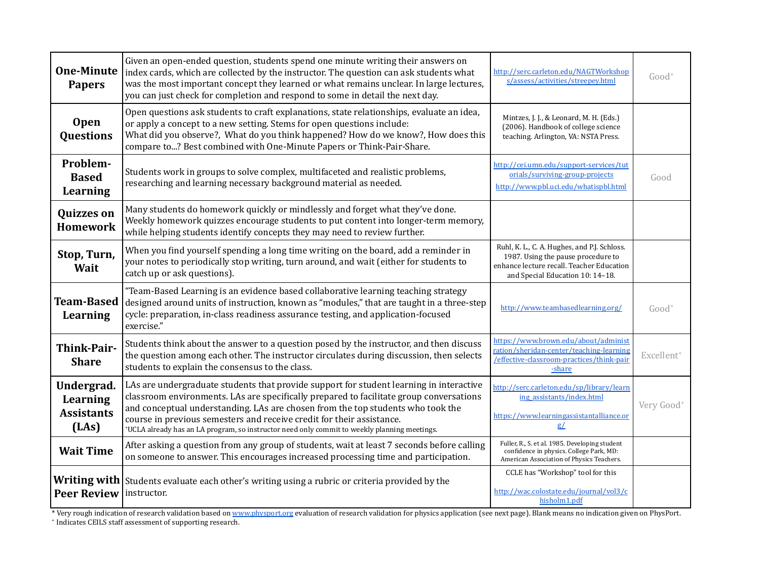| <b>One-Minute</b><br><b>Papers</b>                          | Given an open-ended question, students spend one minute writing their answers on<br>index cards, which are collected by the instructor. The question can ask students what<br>was the most important concept they learned or what remains unclear. In large lectures,<br>you can just check for completion and respond to some in detail the next day.                                                                                         | http://serc.carleton.edu/NAGTWorkshop<br>s/assess/activities/streepey.html                                                                                          | $Good+$                |
|-------------------------------------------------------------|------------------------------------------------------------------------------------------------------------------------------------------------------------------------------------------------------------------------------------------------------------------------------------------------------------------------------------------------------------------------------------------------------------------------------------------------|---------------------------------------------------------------------------------------------------------------------------------------------------------------------|------------------------|
| Open<br>Questions                                           | Open questions ask students to craft explanations, state relationships, evaluate an idea,<br>or apply a concept to a new setting. Stems for open questions include:<br>What did you observe?, What do you think happened? How do we know?, How does this<br>compare to? Best combined with One-Minute Papers or Think-Pair-Share.                                                                                                              | Mintzes, J. J., & Leonard, M. H. (Eds.)<br>(2006). Handbook of college science<br>teaching. Arlington, VA: NSTA Press.                                              |                        |
| Problem-<br><b>Based</b><br>Learning                        | Students work in groups to solve complex, multifaceted and realistic problems,<br>researching and learning necessary background material as needed.                                                                                                                                                                                                                                                                                            | http://cei.umn.edu/support-services/tut<br>orials/surviving-group-projects<br>http://www.pbl.uci.edu/whatispbl.html                                                 | Good                   |
| <b>Quizzes on</b><br><b>Homework</b>                        | Many students do homework quickly or mindlessly and forget what they've done.<br>Weekly homework quizzes encourage students to put content into longer-term memory,<br>while helping students identify concepts they may need to review further.                                                                                                                                                                                               |                                                                                                                                                                     |                        |
| Stop, Turn,<br>Wait                                         | When you find yourself spending a long time writing on the board, add a reminder in<br>your notes to periodically stop writing, turn around, and wait (either for students to<br>catch up or ask questions).                                                                                                                                                                                                                                   | Ruhl, K. L., C. A. Hughes, and P.J. Schloss.<br>1987. Using the pause procedure to<br>enhance lecture recall. Teacher Education<br>and Special Education 10: 14-18. |                        |
| <b>Team-Based</b><br>Learning                               | "Team-Based Learning is an evidence based collaborative learning teaching strategy<br>designed around units of instruction, known as "modules," that are taught in a three-step<br>cycle: preparation, in-class readiness assurance testing, and application-focused<br>exercise."                                                                                                                                                             | http://www.teambasedlearning.org/                                                                                                                                   | $Good+$                |
| Think-Pair-<br><b>Share</b>                                 | Students think about the answer to a question posed by the instructor, and then discuss<br>the question among each other. The instructor circulates during discussion, then selects<br>students to explain the consensus to the class.                                                                                                                                                                                                         | https://www.brown.edu/about/administ<br>ration/sheridan-center/teaching-learning<br>/effective-classroom-practices/think-pair<br>-share                             | Excellent <sup>+</sup> |
| Undergrad.<br><b>Learning</b><br><b>Assistants</b><br>(LAs) | LAs are undergraduate students that provide support for student learning in interactive<br>classroom environments. LAs are specifically prepared to facilitate group conversations<br>and conceptual understanding. LAs are chosen from the top students who took the<br>course in previous semesters and receive credit for their assistance.<br>*UCLA already has an LA program, so instructor need only commit to weekly planning meetings. | http://serc.carleton.edu/sp/library/learn<br>ing_assistants/index.html<br>https://www.learningassistantalliance.or<br>g/                                            | Very Good <sup>+</sup> |
| <b>Wait Time</b>                                            | After asking a question from any group of students, wait at least 7 seconds before calling<br>on someone to answer. This encourages increased processing time and participation.                                                                                                                                                                                                                                                               | Fuller, R., S. et al. 1985. Developing student<br>confidence in physics. College Park, MD:<br>American Association of Physics Teachers.                             |                        |
| Writing with<br><b>Peer Review</b>                          | Students evaluate each other's writing using a rubric or criteria provided by the<br>instructor.                                                                                                                                                                                                                                                                                                                                               | CCLE has "Workshop" tool for this<br>http://wac.colostate.edu/journal/vol3/c<br>hisholm1.pdf                                                                        |                        |

\* Very rough indication of research validation based on <u>[www.physport.org](http://www.physport.org/)</u> evaluation of research validation for physics application (see next page). Blank means no indication given on PhysPort.<br>\* Indicates CEILS staff ass